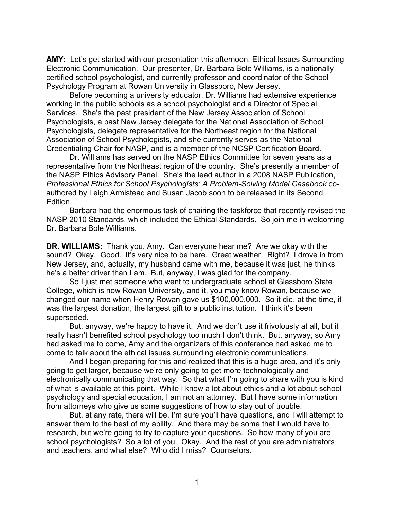**AMY:** Let's get started with our presentation this afternoon, Ethical Issues Surrounding Electronic Communication. Our presenter, Dr. Barbara Bole Williams, is a nationally certified school psychologist, and currently professor and coordinator of the School Psychology Program at Rowan University in Glassboro, New Jersey.

Before becoming a university educator, Dr. Williams had extensive experience working in the public schools as a school psychologist and a Director of Special Services. She's the past president of the New Jersey Association of School Psychologists, a past New Jersey delegate for the National Association of School Psychologists, delegate representative for the Northeast region for the National Association of School Psychologists, and she currently serves as the National Credentialing Chair for NASP, and is a member of the NCSP Certification Board.

Dr. Williams has served on the NASP Ethics Committee for seven years as a representative from the Northeast region of the country. She's presently a member of the NASP Ethics Advisory Panel. She's the lead author in a 2008 NASP Publication, *Professional Ethics for School Psychologists: A Problem-Solving Model Casebook* coauthored by Leigh Armistead and Susan Jacob soon to be released in its Second Edition.

Barbara had the enormous task of chairing the taskforce that recently revised the NASP 2010 Standards, which included the Ethical Standards. So join me in welcoming Dr. Barbara Bole Williams.

**DR. WILLIAMS:** Thank you, Amy. Can everyone hear me? Are we okay with the sound? Okay. Good. It's very nice to be here. Great weather. Right? I drove in from New Jersey, and, actually, my husband came with me, because it was just, he thinks he's a better driver than I am. But, anyway, I was glad for the company.

So I just met someone who went to undergraduate school at Glassboro State College, which is now Rowan University, and it, you may know Rowan, because we changed our name when Henry Rowan gave us \$100,000,000. So it did, at the time, it was the largest donation, the largest gift to a public institution. I think it's been superseded.

But, anyway, we're happy to have it. And we don't use it frivolously at all, but it really hasn't benefited school psychology too much I don't think. But, anyway, so Amy had asked me to come, Amy and the organizers of this conference had asked me to come to talk about the ethical issues surrounding electronic communications.

And I began preparing for this and realized that this is a huge area, and it's only going to get larger, because we're only going to get more technologically and electronically communicating that way. So that what I'm going to share with you is kind of what is available at this point. While I know a lot about ethics and a lot about school psychology and special education, I am not an attorney. But I have some information from attorneys who give us some suggestions of how to stay out of trouble.

But, at any rate, there will be, I'm sure you'll have questions, and I will attempt to answer them to the best of my ability. And there may be some that I would have to research, but we're going to try to capture your questions. So how many of you are school psychologists? So a lot of you. Okay. And the rest of you are administrators and teachers, and what else? Who did I miss? Counselors.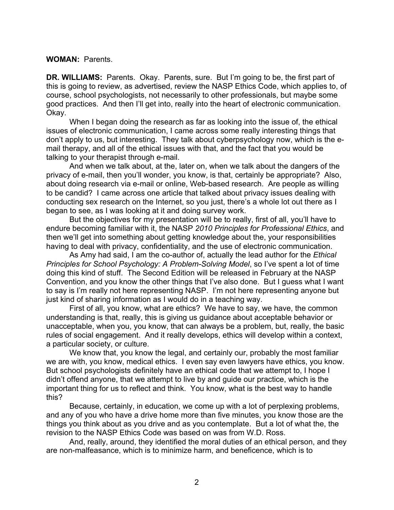## **WOMAN:** Parents.

**DR. WILLIAMS:** Parents. Okay. Parents, sure. But I'm going to be, the first part of this is going to review, as advertised, review the NASP Ethics Code, which applies to, of course, school psychologists, not necessarily to other professionals, but maybe some good practices. And then I'll get into, really into the heart of electronic communication. Okay.

When I began doing the research as far as looking into the issue of, the ethical issues of electronic communication, I came across some really interesting things that don't apply to us, but interesting. They talk about cyberpsychology now, which is the email therapy, and all of the ethical issues with that, and the fact that you would be talking to your therapist through e-mail.

And when we talk about, at the, later on, when we talk about the dangers of the privacy of e-mail, then you'll wonder, you know, is that, certainly be appropriate? Also, about doing research via e-mail or online, Web-based research. Are people as willing to be candid? I came across one article that talked about privacy issues dealing with conducting sex research on the Internet, so you just, there's a whole lot out there as I began to see, as I was looking at it and doing survey work.

But the objectives for my presentation will be to really, first of all, you'll have to endure becoming familiar with it, the NASP *2010 Principles for Professional Ethics*, and then we'll get into something about getting knowledge about the, your responsibilities having to deal with privacy, confidentiality, and the use of electronic communication.

As Amy had said, I am the co-author of, actually the lead author for the *Ethical Principles for School Psychology: A Problem-Solving Model*, so I've spent a lot of time doing this kind of stuff. The Second Edition will be released in February at the NASP Convention, and you know the other things that I've also done. But I guess what I want to say is I'm really not here representing NASP. I'm not here representing anyone but just kind of sharing information as I would do in a teaching way.

First of all, you know, what are ethics? We have to say, we have, the common understanding is that, really, this is giving us guidance about acceptable behavior or unacceptable, when you, you know, that can always be a problem, but, really, the basic rules of social engagement. And it really develops, ethics will develop within a context, a particular society, or culture.

We know that, you know the legal, and certainly our, probably the most familiar we are with, you know, medical ethics. I even say even lawyers have ethics, you know. But school psychologists definitely have an ethical code that we attempt to, I hope I didn't offend anyone, that we attempt to live by and guide our practice, which is the important thing for us to reflect and think. You know, what is the best way to handle this?

Because, certainly, in education, we come up with a lot of perplexing problems, and any of you who have a drive home more than five minutes, you know those are the things you think about as you drive and as you contemplate. But a lot of what the, the revision to the NASP Ethics Code was based on was from W.D. Ross.

And, really, around, they identified the moral duties of an ethical person, and they are non-malfeasance, which is to minimize harm, and beneficence, which is to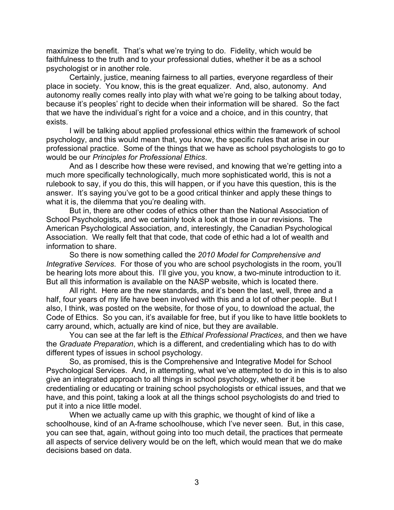maximize the benefit. That's what we're trying to do. Fidelity, which would be faithfulness to the truth and to your professional duties, whether it be as a school psychologist or in another role.

Certainly, justice, meaning fairness to all parties, everyone regardless of their place in society. You know, this is the great equalizer. And, also, autonomy. And autonomy really comes really into play with what we're going to be talking about today, because it's peoples' right to decide when their information will be shared. So the fact that we have the individual's right for a voice and a choice, and in this country, that exists.

I will be talking about applied professional ethics within the framework of school psychology, and this would mean that, you know, the specific rules that arise in our professional practice. Some of the things that we have as school psychologists to go to would be our *Principles for Professional Ethics*.

And as I describe how these were revised, and knowing that we're getting into a much more specifically technologically, much more sophisticated world, this is not a rulebook to say, if you do this, this will happen, or if you have this question, this is the answer. It's saying you've got to be a good critical thinker and apply these things to what it is, the dilemma that you're dealing with.

But in, there are other codes of ethics other than the National Association of School Psychologists, and we certainly took a look at those in our revisions. The American Psychological Association, and, interestingly, the Canadian Psychological Association. We really felt that that code, that code of ethic had a lot of wealth and information to share.

So there is now something called the *2010 Model for Comprehensive and Integrative Services*. For those of you who are school psychologists in the room, you'll be hearing lots more about this. I'll give you, you know, a two-minute introduction to it. But all this information is available on the NASP website, which is located there.

All right. Here are the new standards, and it's been the last, well, three and a half, four years of my life have been involved with this and a lot of other people. But I also, I think, was posted on the website, for those of you, to download the actual, the Code of Ethics. So you can, it's available for free, but if you like to have little booklets to carry around, which, actually are kind of nice, but they are available.

You can see at the far left is the *Ethical Professional Practices*, and then we have the *Graduate Preparation*, which is a different, and credentialing which has to do with different types of issues in school psychology.

So, as promised, this is the Comprehensive and Integrative Model for School Psychological Services. And, in attempting, what we've attempted to do in this is to also give an integrated approach to all things in school psychology, whether it be credentialing or educating or training school psychologists or ethical issues, and that we have, and this point, taking a look at all the things school psychologists do and tried to put it into a nice little model.

When we actually came up with this graphic, we thought of kind of like a schoolhouse, kind of an A-frame schoolhouse, which I've never seen. But, in this case, you can see that, again, without going into too much detail, the practices that permeate all aspects of service delivery would be on the left, which would mean that we do make decisions based on data.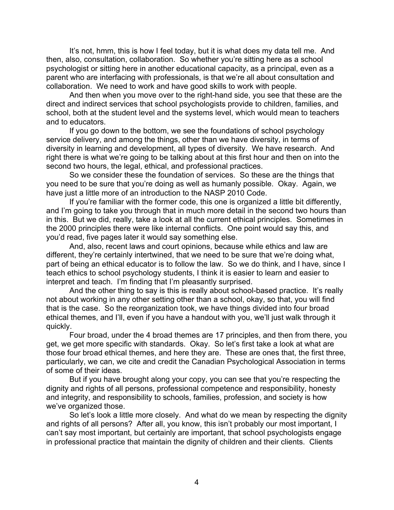It's not, hmm, this is how I feel today, but it is what does my data tell me. And then, also, consultation, collaboration. So whether you're sitting here as a school psychologist or sitting here in another educational capacity, as a principal, even as a parent who are interfacing with professionals, is that we're all about consultation and collaboration. We need to work and have good skills to work with people.

And then when you move over to the right-hand side, you see that these are the direct and indirect services that school psychologists provide to children, families, and school, both at the student level and the systems level, which would mean to teachers and to educators.

If you go down to the bottom, we see the foundations of school psychology service delivery, and among the things, other than we have diversity, in terms of diversity in learning and development, all types of diversity. We have research. And right there is what we're going to be talking about at this first hour and then on into the second two hours, the legal, ethical, and professional practices.

So we consider these the foundation of services. So these are the things that you need to be sure that you're doing as well as humanly possible. Okay. Again, we have just a little more of an introduction to the NASP 2010 Code.

If you're familiar with the former code, this one is organized a little bit differently, and I'm going to take you through that in much more detail in the second two hours than in this. But we did, really, take a look at all the current ethical principles. Sometimes in the 2000 principles there were like internal conflicts. One point would say this, and you'd read, five pages later it would say something else.

And, also, recent laws and court opinions, because while ethics and law are different, they're certainly intertwined, that we need to be sure that we're doing what, part of being an ethical educator is to follow the law. So we do think, and I have, since I teach ethics to school psychology students, I think it is easier to learn and easier to interpret and teach. I'm finding that I'm pleasantly surprised.

And the other thing to say is this is really about school-based practice. It's really not about working in any other setting other than a school, okay, so that, you will find that is the case. So the reorganization took, we have things divided into four broad ethical themes, and I'll, even if you have a handout with you, we'll just walk through it quickly.

Four broad, under the 4 broad themes are 17 principles, and then from there, you get, we get more specific with standards. Okay. So let's first take a look at what are those four broad ethical themes, and here they are. These are ones that, the first three, particularly, we can, we cite and credit the Canadian Psychological Association in terms of some of their ideas.

But if you have brought along your copy, you can see that you're respecting the dignity and rights of all persons, professional competence and responsibility, honesty and integrity, and responsibility to schools, families, profession, and society is how we've organized those.

So let's look a little more closely. And what do we mean by respecting the dignity and rights of all persons? After all, you know, this isn't probably our most important, I can't say most important, but certainly are important, that school psychologists engage in professional practice that maintain the dignity of children and their clients. Clients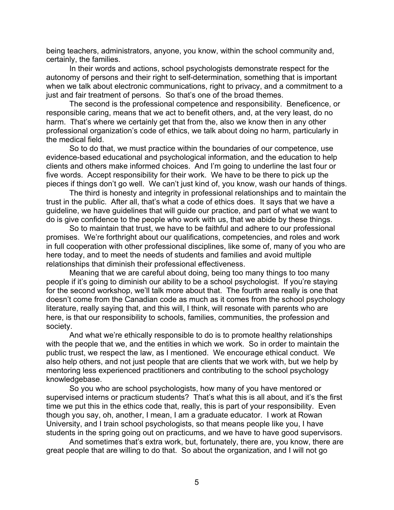being teachers, administrators, anyone, you know, within the school community and, certainly, the families.

In their words and actions, school psychologists demonstrate respect for the autonomy of persons and their right to self-determination, something that is important when we talk about electronic communications, right to privacy, and a commitment to a just and fair treatment of persons. So that's one of the broad themes.

The second is the professional competence and responsibility. Beneficence, or responsible caring, means that we act to benefit others, and, at the very least, do no harm. That's where we certainly get that from the, also we know then in any other professional organization's code of ethics, we talk about doing no harm, particularly in the medical field.

So to do that, we must practice within the boundaries of our competence, use evidence-based educational and psychological information, and the education to help clients and others make informed choices. And I'm going to underline the last four or five words. Accept responsibility for their work. We have to be there to pick up the pieces if things don't go well. We can't just kind of, you know, wash our hands of things.

The third is honesty and integrity in professional relationships and to maintain the trust in the public. After all, that's what a code of ethics does. It says that we have a guideline, we have guidelines that will guide our practice, and part of what we want to do is give confidence to the people who work with us, that we abide by these things.

So to maintain that trust, we have to be faithful and adhere to our professional promises. We're forthright about our qualifications, competencies, and roles and work in full cooperation with other professional disciplines, like some of, many of you who are here today, and to meet the needs of students and families and avoid multiple relationships that diminish their professional effectiveness.

Meaning that we are careful about doing, being too many things to too many people if it's going to diminish our ability to be a school psychologist. If you're staying for the second workshop, we'll talk more about that. The fourth area really is one that doesn't come from the Canadian code as much as it comes from the school psychology literature, really saying that, and this will, I think, will resonate with parents who are here, is that our responsibility to schools, families, communities, the profession and society.

And what we're ethically responsible to do is to promote healthy relationships with the people that we, and the entities in which we work. So in order to maintain the public trust, we respect the law, as I mentioned. We encourage ethical conduct. We also help others, and not just people that are clients that we work with, but we help by mentoring less experienced practitioners and contributing to the school psychology knowledgebase.

So you who are school psychologists, how many of you have mentored or supervised interns or practicum students? That's what this is all about, and it's the first time we put this in the ethics code that, really, this is part of your responsibility. Even though you say, oh, another, I mean, I am a graduate educator. I work at Rowan University, and I train school psychologists, so that means people like you, I have students in the spring going out on practicums, and we have to have good supervisors.

And sometimes that's extra work, but, fortunately, there are, you know, there are great people that are willing to do that. So about the organization, and I will not go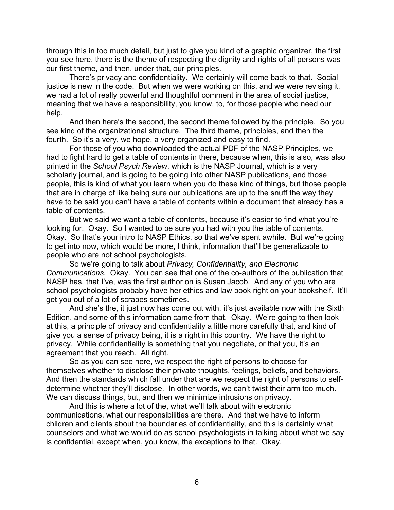through this in too much detail, but just to give you kind of a graphic organizer, the first you see here, there is the theme of respecting the dignity and rights of all persons was our first theme, and then, under that, our principles.

There's privacy and confidentiality. We certainly will come back to that. Social justice is new in the code. But when we were working on this, and we were revising it, we had a lot of really powerful and thoughtful comment in the area of social justice, meaning that we have a responsibility, you know, to, for those people who need our help.

And then here's the second, the second theme followed by the principle. So you see kind of the organizational structure. The third theme, principles, and then the fourth. So it's a very, we hope, a very organized and easy to find.

For those of you who downloaded the actual PDF of the NASP Principles, we had to fight hard to get a table of contents in there, because when, this is also, was also printed in the *School Psych Review*, which is the NASP Journal, which is a very scholarly journal, and is going to be going into other NASP publications, and those people, this is kind of what you learn when you do these kind of things, but those people that are in charge of like being sure our publications are up to the snuff the way they have to be said you can't have a table of contents within a document that already has a table of contents.

But we said we want a table of contents, because it's easier to find what you're looking for. Okay. So I wanted to be sure you had with you the table of contents. Okay. So that's your intro to NASP Ethics, so that we've spent awhile. But we're going to get into now, which would be more, I think, information that'll be generalizable to people who are not school psychologists.

So we're going to talk about *Privacy, Confidentiality, and Electronic Communications*. Okay. You can see that one of the co-authors of the publication that NASP has, that I've, was the first author on is Susan Jacob. And any of you who are school psychologists probably have her ethics and law book right on your bookshelf. It'll get you out of a lot of scrapes sometimes.

And she's the, it just now has come out with, it's just available now with the Sixth Edition, and some of this information came from that. Okay. We're going to then look at this, a principle of privacy and confidentiality a little more carefully that, and kind of give you a sense of privacy being, it is a right in this country. We have the right to privacy. While confidentiality is something that you negotiate, or that you, it's an agreement that you reach. All right.

So as you can see here, we respect the right of persons to choose for themselves whether to disclose their private thoughts, feelings, beliefs, and behaviors. And then the standards which fall under that are we respect the right of persons to selfdetermine whether they'll disclose. In other words, we can't twist their arm too much. We can discuss things, but, and then we minimize intrusions on privacy.

And this is where a lot of the, what we'll talk about with electronic communications, what our responsibilities are there. And that we have to inform children and clients about the boundaries of confidentiality, and this is certainly what counselors and what we would do as school psychologists in talking about what we say is confidential, except when, you know, the exceptions to that. Okay.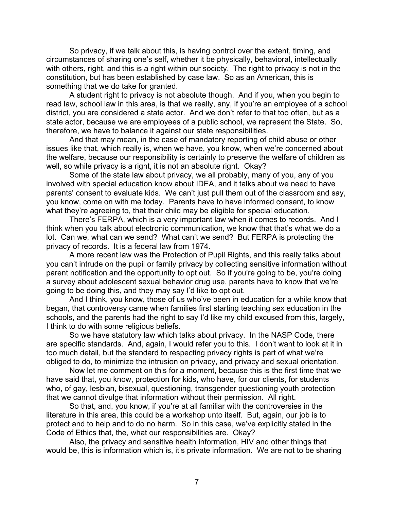So privacy, if we talk about this, is having control over the extent, timing, and circumstances of sharing one's self, whether it be physically, behavioral, intellectually with others, right, and this is a right within our society. The right to privacy is not in the constitution, but has been established by case law. So as an American, this is something that we do take for granted.

A student right to privacy is not absolute though. And if you, when you begin to read law, school law in this area, is that we really, any, if you're an employee of a school district, you are considered a state actor. And we don't refer to that too often, but as a state actor, because we are employees of a public school, we represent the State. So, therefore, we have to balance it against our state responsibilities.

And that may mean, in the case of mandatory reporting of child abuse or other issues like that, which really is, when we have, you know, when we're concerned about the welfare, because our responsibility is certainly to preserve the welfare of children as well, so while privacy is a right, it is not an absolute right. Okay?

Some of the state law about privacy, we all probably, many of you, any of you involved with special education know about IDEA, and it talks about we need to have parents' consent to evaluate kids. We can't just pull them out of the classroom and say, you know, come on with me today. Parents have to have informed consent, to know what they're agreeing to, that their child may be eligible for special education.

There's FERPA, which is a very important law when it comes to records. And I think when you talk about electronic communication, we know that that's what we do a lot. Can we, what can we send? What can't we send? But FERPA is protecting the privacy of records. It is a federal law from 1974.

A more recent law was the Protection of Pupil Rights, and this really talks about you can't intrude on the pupil or family privacy by collecting sensitive information without parent notification and the opportunity to opt out. So if you're going to be, you're doing a survey about adolescent sexual behavior drug use, parents have to know that we're going to be doing this, and they may say I'd like to opt out.

And I think, you know, those of us who've been in education for a while know that began, that controversy came when families first starting teaching sex education in the schools, and the parents had the right to say I'd like my child excused from this, largely, I think to do with some religious beliefs.

So we have statutory law which talks about privacy. In the NASP Code, there are specific standards. And, again, I would refer you to this. I don't want to look at it in too much detail, but the standard to respecting privacy rights is part of what we're obliged to do, to minimize the intrusion on privacy, and privacy and sexual orientation.

Now let me comment on this for a moment, because this is the first time that we have said that, you know, protection for kids, who have, for our clients, for students who, of gay, lesbian, bisexual, questioning, transgender questioning youth protection that we cannot divulge that information without their permission. All right.

So that, and, you know, if you're at all familiar with the controversies in the literature in this area, this could be a workshop unto itself. But, again, our job is to protect and to help and to do no harm. So in this case, we've explicitly stated in the Code of Ethics that, the, what our responsibilities are. Okay?

Also, the privacy and sensitive health information, HIV and other things that would be, this is information which is, it's private information. We are not to be sharing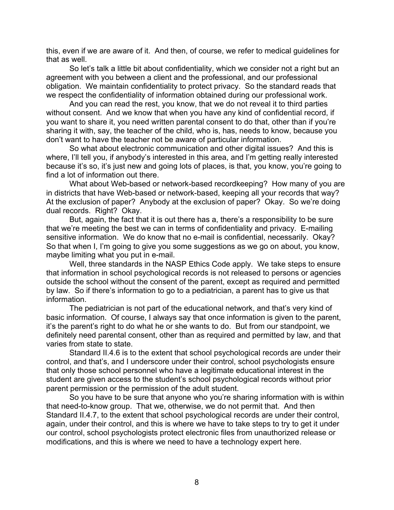this, even if we are aware of it. And then, of course, we refer to medical guidelines for that as well.

So let's talk a little bit about confidentiality, which we consider not a right but an agreement with you between a client and the professional, and our professional obligation. We maintain confidentiality to protect privacy. So the standard reads that we respect the confidentiality of information obtained during our professional work.

And you can read the rest, you know, that we do not reveal it to third parties without consent. And we know that when you have any kind of confidential record, if you want to share it, you need written parental consent to do that, other than if you're sharing it with, say, the teacher of the child, who is, has, needs to know, because you don't want to have the teacher not be aware of particular information.

So what about electronic communication and other digital issues? And this is where, I'll tell you, if anybody's interested in this area, and I'm getting really interested because it's so, it's just new and going lots of places, is that, you know, you're going to find a lot of information out there.

What about Web-based or network-based recordkeeping? How many of you are in districts that have Web-based or network-based, keeping all your records that way? At the exclusion of paper? Anybody at the exclusion of paper? Okay. So we're doing dual records. Right? Okay.

But, again, the fact that it is out there has a, there's a responsibility to be sure that we're meeting the best we can in terms of confidentiality and privacy. E-mailing sensitive information. We do know that no e-mail is confidential, necessarily. Okay? So that when I, I'm going to give you some suggestions as we go on about, you know, maybe limiting what you put in e-mail.

Well, three standards in the NASP Ethics Code apply. We take steps to ensure that information in school psychological records is not released to persons or agencies outside the school without the consent of the parent, except as required and permitted by law. So if there's information to go to a pediatrician, a parent has to give us that information.

The pediatrician is not part of the educational network, and that's very kind of basic information. Of course, I always say that once information is given to the parent, it's the parent's right to do what he or she wants to do. But from our standpoint, we definitely need parental consent, other than as required and permitted by law, and that varies from state to state.

Standard II.4.6 is to the extent that school psychological records are under their control, and that's, and I underscore under their control, school psychologists ensure that only those school personnel who have a legitimate educational interest in the student are given access to the student's school psychological records without prior parent permission or the permission of the adult student.

So you have to be sure that anyone who you're sharing information with is within that need-to-know group. That we, otherwise, we do not permit that. And then Standard II.4.7, to the extent that school psychological records are under their control, again, under their control, and this is where we have to take steps to try to get it under our control, school psychologists protect electronic files from unauthorized release or modifications, and this is where we need to have a technology expert here.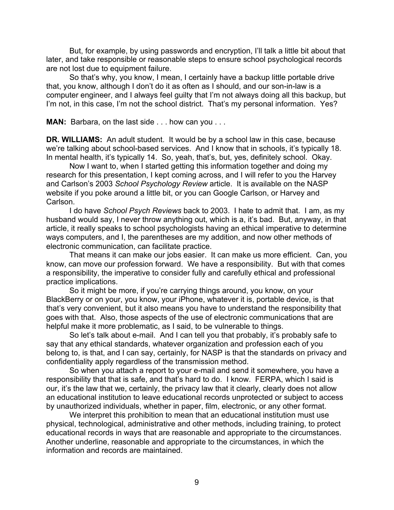But, for example, by using passwords and encryption, I'll talk a little bit about that later, and take responsible or reasonable steps to ensure school psychological records are not lost due to equipment failure.

So that's why, you know, I mean, I certainly have a backup little portable drive that, you know, although I don't do it as often as I should, and our son-in-law is a computer engineer, and I always feel guilty that I'm not always doing all this backup, but I'm not, in this case, I'm not the school district. That's my personal information. Yes?

**MAN:** Barbara, on the last side . . . how can you . . .

**DR. WILLIAMS:** An adult student. It would be by a school law in this case, because we're talking about school-based services. And I know that in schools, it's typically 18. In mental health, it's typically 14. So, yeah, that's, but, yes, definitely school. Okay.

Now I want to, when I started getting this information together and doing my research for this presentation, I kept coming across, and I will refer to you the Harvey and Carlson's 2003 *School Psychology Review* article. It is available on the NASP website if you poke around a little bit, or you can Google Carlson, or Harvey and Carlson.

I do have *School Psych Reviews* back to 2003. I hate to admit that. I am, as my husband would say, I never throw anything out, which is a, it's bad. But, anyway, in that article, it really speaks to school psychologists having an ethical imperative to determine ways computers, and I, the parentheses are my addition, and now other methods of electronic communication, can facilitate practice.

That means it can make our jobs easier. It can make us more efficient. Can, you know, can move our profession forward. We have a responsibility. But with that comes a responsibility, the imperative to consider fully and carefully ethical and professional practice implications.

So it might be more, if you're carrying things around, you know, on your BlackBerry or on your, you know, your iPhone, whatever it is, portable device, is that that's very convenient, but it also means you have to understand the responsibility that goes with that. Also, those aspects of the use of electronic communications that are helpful make it more problematic, as I said, to be vulnerable to things.

So let's talk about e-mail. And I can tell you that probably, it's probably safe to say that any ethical standards, whatever organization and profession each of you belong to, is that, and I can say, certainly, for NASP is that the standards on privacy and confidentiality apply regardless of the transmission method.

So when you attach a report to your e-mail and send it somewhere, you have a responsibility that that is safe, and that's hard to do. I know. FERPA, which I said is our, it's the law that we, certainly, the privacy law that it clearly, clearly does not allow an educational institution to leave educational records unprotected or subject to access by unauthorized individuals, whether in paper, film, electronic, or any other format.

We interpret this prohibition to mean that an educational institution must use physical, technological, administrative and other methods, including training, to protect educational records in ways that are reasonable and appropriate to the circumstances. Another underline, reasonable and appropriate to the circumstances, in which the information and records are maintained.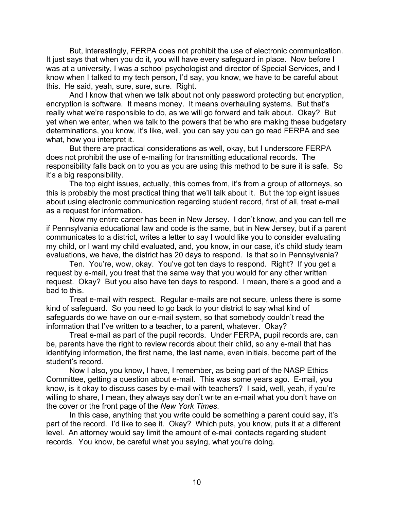But, interestingly, FERPA does not prohibit the use of electronic communication. It just says that when you do it, you will have every safeguard in place. Now before I was at a university, I was a school psychologist and director of Special Services, and I know when I talked to my tech person, I'd say, you know, we have to be careful about this. He said, yeah, sure, sure, sure. Right.

And I know that when we talk about not only password protecting but encryption, encryption is software. It means money. It means overhauling systems. But that's really what we're responsible to do, as we will go forward and talk about. Okay? But yet when we enter, when we talk to the powers that be who are making these budgetary determinations, you know, it's like, well, you can say you can go read FERPA and see what, how you interpret it.

But there are practical considerations as well, okay, but I underscore FERPA does not prohibit the use of e-mailing for transmitting educational records. The responsibility falls back on to you as you are using this method to be sure it is safe. So it's a big responsibility.

The top eight issues, actually, this comes from, it's from a group of attorneys, so this is probably the most practical thing that we'll talk about it. But the top eight issues about using electronic communication regarding student record, first of all, treat e-mail as a request for information.

Now my entire career has been in New Jersey. I don't know, and you can tell me if Pennsylvania educational law and code is the same, but in New Jersey, but if a parent communicates to a district, writes a letter to say I would like you to consider evaluating my child, or I want my child evaluated, and, you know, in our case, it's child study team evaluations, we have, the district has 20 days to respond. Is that so in Pennsylvania?

Ten. You're, wow, okay. You've got ten days to respond. Right? If you get a request by e-mail, you treat that the same way that you would for any other written request. Okay? But you also have ten days to respond. I mean, there's a good and a bad to this.

Treat e-mail with respect. Regular e-mails are not secure, unless there is some kind of safeguard. So you need to go back to your district to say what kind of safeguards do we have on our e-mail system, so that somebody couldn't read the information that I've written to a teacher, to a parent, whatever. Okay?

Treat e-mail as part of the pupil records. Under FERPA, pupil records are, can be, parents have the right to review records about their child, so any e-mail that has identifying information, the first name, the last name, even initials, become part of the student's record.

Now I also, you know, I have, I remember, as being part of the NASP Ethics Committee, getting a question about e-mail. This was some years ago. E-mail, you know, is it okay to discuss cases by e-mail with teachers? I said, well, yeah, if you're willing to share, I mean, they always say don't write an e-mail what you don't have on the cover or the front page of the *New York Times*.

In this case, anything that you write could be something a parent could say, it's part of the record. I'd like to see it. Okay? Which puts, you know, puts it at a different level. An attorney would say limit the amount of e-mail contacts regarding student records. You know, be careful what you saying, what you're doing.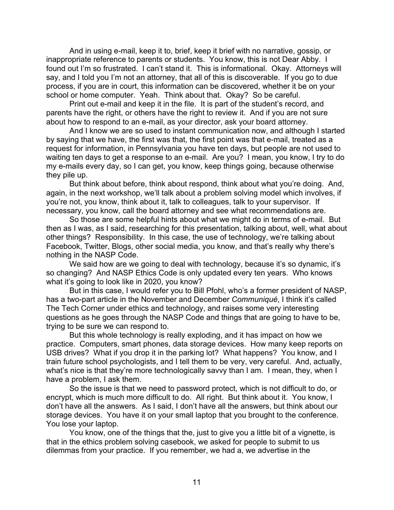And in using e-mail, keep it to, brief, keep it brief with no narrative, gossip, or inappropriate reference to parents or students. You know, this is not Dear Abby. I found out I'm so frustrated. I can't stand it. This is informational. Okay. Attorneys will say, and I told you I'm not an attorney, that all of this is discoverable. If you go to due process, if you are in court, this information can be discovered, whether it be on your school or home computer. Yeah. Think about that. Okay? So be careful.

Print out e-mail and keep it in the file. It is part of the student's record, and parents have the right, or others have the right to review it. And if you are not sure about how to respond to an e-mail, as your director, ask your board attorney.

And I know we are so used to instant communication now, and although I started by saying that we have, the first was that, the first point was that e-mail, treated as a request for information, in Pennsylvania you have ten days, but people are not used to waiting ten days to get a response to an e-mail. Are you? I mean, you know, I try to do my e-mails every day, so I can get, you know, keep things going, because otherwise they pile up.

But think about before, think about respond, think about what you're doing. And, again, in the next workshop, we'll talk about a problem solving model which involves, if you're not, you know, think about it, talk to colleagues, talk to your supervisor. If necessary, you know, call the board attorney and see what recommendations are.

So those are some helpful hints about what we might do in terms of e-mail. But then as I was, as I said, researching for this presentation, talking about, well, what about other things? Responsibility. In this case, the use of technology, we're talking about Facebook, Twitter, Blogs, other social media, you know, and that's really why there's nothing in the NASP Code.

We said how are we going to deal with technology, because it's so dynamic, it's so changing? And NASP Ethics Code is only updated every ten years. Who knows what it's going to look like in 2020, you know?

But in this case, I would refer you to Bill Pfohl, who's a former president of NASP, has a two-part article in the November and December *Communiqué*, I think it's called The Tech Corner under ethics and technology, and raises some very interesting questions as he goes through the NASP Code and things that are going to have to be, trying to be sure we can respond to.

But this whole technology is really exploding, and it has impact on how we practice. Computers, smart phones, data storage devices. How many keep reports on USB drives? What if you drop it in the parking lot? What happens? You know, and I train future school psychologists, and I tell them to be very, very careful. And, actually, what's nice is that they're more technologically savvy than I am. I mean, they, when I have a problem, I ask them.

So the issue is that we need to password protect, which is not difficult to do, or encrypt, which is much more difficult to do. All right. But think about it. You know, I don't have all the answers. As I said, I don't have all the answers, but think about our storage devices. You have it on your small laptop that you brought to the conference. You lose your laptop.

You know, one of the things that the, just to give you a little bit of a vignette, is that in the ethics problem solving casebook, we asked for people to submit to us dilemmas from your practice. If you remember, we had a, we advertise in the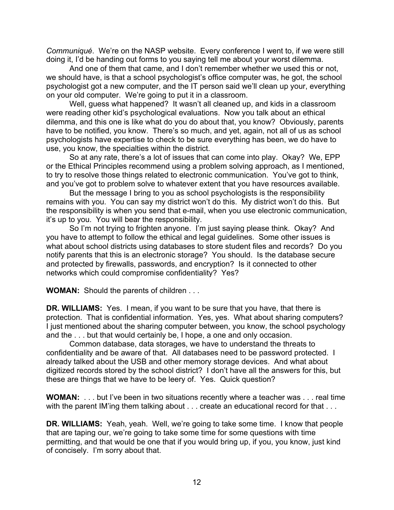*Communiqué*. We're on the NASP website. Every conference I went to, if we were still doing it, I'd be handing out forms to you saying tell me about your worst dilemma.

And one of them that came, and I don't remember whether we used this or not, we should have, is that a school psychologist's office computer was, he got, the school psychologist got a new computer, and the IT person said we'll clean up your, everything on your old computer. We're going to put it in a classroom.

Well, guess what happened? It wasn't all cleaned up, and kids in a classroom were reading other kid's psychological evaluations. Now you talk about an ethical dilemma, and this one is like what do you do about that, you know? Obviously, parents have to be notified, you know. There's so much, and yet, again, not all of us as school psychologists have expertise to check to be sure everything has been, we do have to use, you know, the specialties within the district.

So at any rate, there's a lot of issues that can come into play. Okay? We, EPP or the Ethical Principles recommend using a problem solving approach, as I mentioned, to try to resolve those things related to electronic communication. You've got to think, and you've got to problem solve to whatever extent that you have resources available.

But the message I bring to you as school psychologists is the responsibility remains with you. You can say my district won't do this. My district won't do this. But the responsibility is when you send that e-mail, when you use electronic communication, it's up to you. You will bear the responsibility.

So I'm not trying to frighten anyone. I'm just saying please think. Okay? And you have to attempt to follow the ethical and legal guidelines. Some other issues is what about school districts using databases to store student files and records? Do you notify parents that this is an electronic storage? You should. Is the database secure and protected by firewalls, passwords, and encryption? Is it connected to other networks which could compromise confidentiality? Yes?

**WOMAN:** Should the parents of children . . .

**DR. WILLIAMS:** Yes. I mean, if you want to be sure that you have, that there is protection. That is confidential information. Yes, yes. What about sharing computers? I just mentioned about the sharing computer between, you know, the school psychology and the . . . but that would certainly be, I hope, a one and only occasion.

Common database, data storages, we have to understand the threats to confidentiality and be aware of that. All databases need to be password protected. I already talked about the USB and other memory storage devices. And what about digitized records stored by the school district? I don't have all the answers for this, but these are things that we have to be leery of. Yes. Quick question?

**WOMAN:** . . . but I've been in two situations recently where a teacher was . . . real time with the parent IM'ing them talking about . . . create an educational record for that . . .

**DR. WILLIAMS:** Yeah, yeah. Well, we're going to take some time. I know that people that are taping our, we're going to take some time for some questions with time permitting, and that would be one that if you would bring up, if you, you know, just kind of concisely. I'm sorry about that.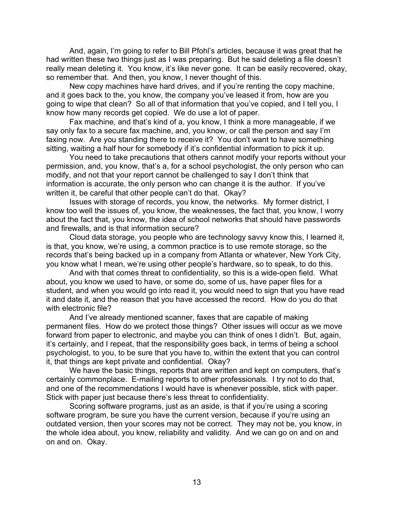And, again, I'm going to refer to Bill Pfohl's articles, because it was great that he had written these two things just as I was preparing. But he said deleting a file doesn't really mean deleting it. You know, it's like never gone. It can be easily recovered, okay, so remember that. And then, you know, I never thought of this.

New copy machines have hard drives, and if you're renting the copy machine, and it goes back to the, you know, the company you've leased it from, how are you going to wipe that clean? So all of that information that you've copied, and I tell you, I know how many records get copied. We do use a lot of paper.

Fax machine, and that's kind of a, you know, I think a more manageable, if we say only fax to a secure fax machine, and, you know, or call the person and say I'm faxing now. Are you standing there to receive it? You don't want to have something sitting, waiting a half hour for somebody if it's confidential information to pick it up.

You need to take precautions that others cannot modify your reports without your permission, and, you know, that's a, for a school psychologist, the only person who can modify, and not that your report cannot be challenged to say I don't think that information is accurate, the only person who can change it is the author. If you've written it, be careful that other people can't do that. Okay?

Issues with storage of records, you know, the networks. My former district, I know too well the issues of, you know, the weaknesses, the fact that, you know, I worry about the fact that, you know, the idea of school networks that should have passwords and firewalls, and is that information secure?

Cloud data storage, you people who are technology savvy know this, I learned it, is that, you know, we're using, a common practice is to use remote storage, so the records that's being backed up in a company from Atlanta or whatever, New York City, you know what I mean, we're using other people's hardware, so to speak, to do this.

And with that comes threat to confidentiality, so this is a wide-open field. What about, you know we used to have, or some do, some of us, have paper files for a student, and when you would go into read it, you would need to sign that you have read it and date it, and the reason that you have accessed the record. How do you do that with electronic file?

And I've already mentioned scanner, faxes that are capable of making permanent files. How do we protect those things? Other issues will occur as we move forward from paper to electronic, and maybe you can think of ones I didn't. But, again, it's certainly, and I repeat, that the responsibility goes back, in terms of being a school psychologist, to you, to be sure that you have to, within the extent that you can control it, that things are kept private and confidential. Okay?

We have the basic things, reports that are written and kept on computers, that's certainly commonplace. E-mailing reports to other professionals. I try not to do that, and one of the recommendations I would have is whenever possible, stick with paper. Stick with paper just because there's less threat to confidentiality.

Scoring software programs, just as an aside, is that if you're using a scoring software program, be sure you have the current version, because if you're using an outdated version, then your scores may not be correct. They may not be, you know, in the whole idea about, you know, reliability and validity. And we can go on and on and on and on. Okay.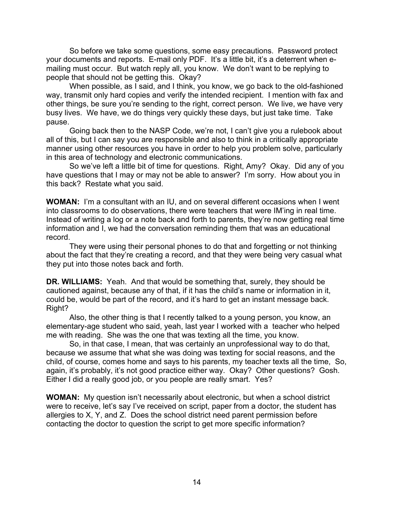So before we take some questions, some easy precautions. Password protect your documents and reports. E-mail only PDF. It's a little bit, it's a deterrent when emailing must occur. But watch reply all, you know. We don't want to be replying to people that should not be getting this. Okay?

When possible, as I said, and I think, you know, we go back to the old-fashioned way, transmit only hard copies and verify the intended recipient. I mention with fax and other things, be sure you're sending to the right, correct person. We live, we have very busy lives. We have, we do things very quickly these days, but just take time. Take pause.

Going back then to the NASP Code, we're not, I can't give you a rulebook about all of this, but I can say you are responsible and also to think in a critically appropriate manner using other resources you have in order to help you problem solve, particularly in this area of technology and electronic communications.

So we've left a little bit of time for questions. Right, Amy? Okay. Did any of you have questions that I may or may not be able to answer? I'm sorry. How about you in this back? Restate what you said.

**WOMAN:** I'm a consultant with an IU, and on several different occasions when I went into classrooms to do observations, there were teachers that were IM'ing in real time. Instead of writing a log or a note back and forth to parents, they're now getting real time information and I, we had the conversation reminding them that was an educational record.

They were using their personal phones to do that and forgetting or not thinking about the fact that they're creating a record, and that they were being very casual what they put into those notes back and forth.

**DR. WILLIAMS:** Yeah. And that would be something that, surely, they should be cautioned against, because any of that, if it has the child's name or information in it, could be, would be part of the record, and it's hard to get an instant message back. Right?

Also, the other thing is that I recently talked to a young person, you know, an elementary-age student who said, yeah, last year I worked with a teacher who helped me with reading. She was the one that was texting all the time, you know.

So, in that case, I mean, that was certainly an unprofessional way to do that, because we assume that what she was doing was texting for social reasons, and the child, of course, comes home and says to his parents, my teacher texts all the time, So, again, it's probably, it's not good practice either way. Okay? Other questions? Gosh. Either I did a really good job, or you people are really smart. Yes?

**WOMAN:** My question isn't necessarily about electronic, but when a school district were to receive, let's say I've received on script, paper from a doctor, the student has allergies to X, Y, and Z. Does the school district need parent permission before contacting the doctor to question the script to get more specific information?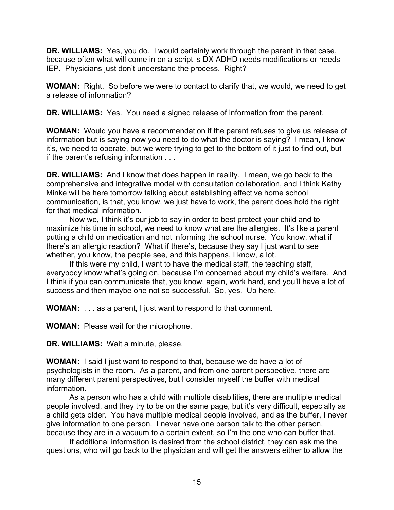**DR. WILLIAMS:** Yes, you do. I would certainly work through the parent in that case, because often what will come in on a script is DX ADHD needs modifications or needs IEP. Physicians just don't understand the process. Right?

**WOMAN:** Right. So before we were to contact to clarify that, we would, we need to get a release of information?

**DR. WILLIAMS:** Yes. You need a signed release of information from the parent.

**WOMAN:** Would you have a recommendation if the parent refuses to give us release of information but is saying now you need to do what the doctor is saying? I mean, I know it's, we need to operate, but we were trying to get to the bottom of it just to find out, but if the parent's refusing information . . .

**DR. WILLIAMS:** And I know that does happen in reality. I mean, we go back to the comprehensive and integrative model with consultation collaboration, and I think Kathy Minke will be here tomorrow talking about establishing effective home school communication, is that, you know, we just have to work, the parent does hold the right for that medical information.

Now we, I think it's our job to say in order to best protect your child and to maximize his time in school, we need to know what are the allergies. It's like a parent putting a child on medication and not informing the school nurse. You know, what if there's an allergic reaction? What if there's, because they say I just want to see whether, you know, the people see, and this happens, I know, a lot.

If this were my child, I want to have the medical staff, the teaching staff, everybody know what's going on, because I'm concerned about my child's welfare. And I think if you can communicate that, you know, again, work hard, and you'll have a lot of success and then maybe one not so successful. So, yes. Up here.

**WOMAN:** . . . as a parent, I just want to respond to that comment.

**WOMAN:** Please wait for the microphone.

**DR. WILLIAMS:** Wait a minute, please.

**WOMAN:** I said I just want to respond to that, because we do have a lot of psychologists in the room. As a parent, and from one parent perspective, there are many different parent perspectives, but I consider myself the buffer with medical information.

As a person who has a child with multiple disabilities, there are multiple medical people involved, and they try to be on the same page, but it's very difficult, especially as a child gets older. You have multiple medical people involved, and as the buffer, I never give information to one person. I never have one person talk to the other person, because they are in a vacuum to a certain extent, so I'm the one who can buffer that.

If additional information is desired from the school district, they can ask me the questions, who will go back to the physician and will get the answers either to allow the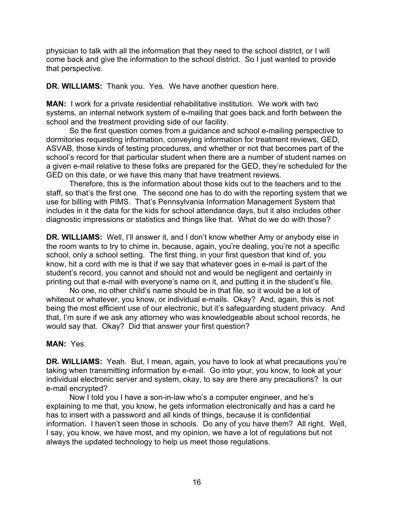physician to talk with all the information that they need to the school district, or I will come back and give the information to the school district. So I just wanted to provide that perspective.

**DR. WILLIAMS:** Thank you. Yes. We have another question here.

**MAN:** I work for a private residential rehabilitative institution. We work with two systems, an internal network system of e-mailing that goes back and forth between the school and the treatment providing side of our facility.

So the first question comes from a guidance and school e-mailing perspective to dormitories requesting information, conveying information for treatment reviews, GED, ASVAB, those kinds of testing procedures, and whether or not that becomes part of the school's record for that particular student when there are a number of student names on a given e-mail relative to these folks are prepared for the GED, they're scheduled for the GED on this date, or we have this many that have treatment reviews.

Therefore, this is the information about those kids out to the teachers and to the staff, so that's the first one. The second one has to do with the reporting system that we use for billing with PIMS. That's Pennsylvania Information Management System that includes in it the data for the kids for school attendance days, but it also includes other diagnostic impressions or statistics and things like that. What do we do with those?

**DR. WILLIAMS:** Well, I'll answer it, and I don't know whether Amy or anybody else in the room wants to try to chime in, because, again, you're dealing, you're not a specific school, only a school setting. The first thing, in your first question that kind of, you know, hit a cord with me is that if we say that whatever goes in e-mail is part of the student's record, you cannot and should not and would be negligent and certainly in printing out that e-mail with everyone's name on it, and putting it in the student's file.

No one, no other child's name should be in that file, so it would be a lot of whiteout or whatever, you know, or individual e-mails. Okay? And, again, this is not being the most efficient use of our electronic, but it's safeguarding student privacy. And that, I'm sure if we ask any attorney who was knowledgeable about school records, he would say that. Okay? Did that answer your first question?

## **MAN:** Yes.

**DR. WILLIAMS:** Yeah. But, I mean, again, you have to look at what precautions you're taking when transmitting information by e-mail. Go into your, you know, to look at your individual electronic server and system, okay, to say are there any precautions? Is our e-mail encrypted?

Now I told you I have a son-in-law who's a computer engineer, and he's explaining to me that, you know, he gets information electronically and has a card he has to insert with a password and all kinds of things, because it is confidential information. I haven't seen those in schools. Do any of you have them? All right. Well, I say, you know, we have most, and my opinion, we have a lot of regulations but not always the updated technology to help us meet those regulations.